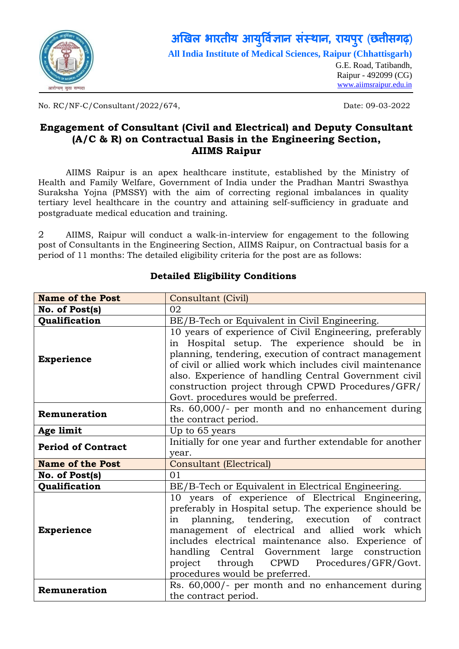

#### **अ�खल भारतीय आय �वर् ा संस्था, रायपरु** (**छ�ीसगढ़**) **ु**

**All India Institute of Medical Sciences, Raipur (Chhattisgarh)**

G.E. Road, Tatibandh, Raipur - 492099 (CG) *U*[www.aiimsraipur.edu.in](http://www.aiimsraipur.edu.in/)*U*

No. RC/NF-C/Consultant/2022/674, Date: 09-03-2022

### **Engagement of Consultant (Civil and Electrical) and Deputy Consultant (A/C & R) on Contractual Basis in the Engineering Section, AIIMS Raipur**

AIIMS Raipur is an apex healthcare institute, established by the Ministry of Health and Family Welfare, Government of India under the Pradhan Mantri Swasthya Suraksha Yojna (PMSSY) with the aim of correcting regional imbalances in quality tertiary level healthcare in the country and attaining self-sufficiency in graduate and postgraduate medical education and training.

2 AIIMS, Raipur will conduct a walk-in-interview for engagement to the following post of Consultants in the Engineering Section, AIIMS Raipur, on Contractual basis for a period of 11 months: The detailed eligibility criteria for the post are as follows:

| <b>Name of the Post</b>                                                                                                                                                                                                                                                                                                                                                                                   | Consultant (Civil)                                                                                                                                                                                                                                                                                                                                                                                        |  |  |
|-----------------------------------------------------------------------------------------------------------------------------------------------------------------------------------------------------------------------------------------------------------------------------------------------------------------------------------------------------------------------------------------------------------|-----------------------------------------------------------------------------------------------------------------------------------------------------------------------------------------------------------------------------------------------------------------------------------------------------------------------------------------------------------------------------------------------------------|--|--|
| No. of Post(s)                                                                                                                                                                                                                                                                                                                                                                                            | 02                                                                                                                                                                                                                                                                                                                                                                                                        |  |  |
| Qualification                                                                                                                                                                                                                                                                                                                                                                                             | BE/B-Tech or Equivalent in Civil Engineering.                                                                                                                                                                                                                                                                                                                                                             |  |  |
| 10 years of experience of Civil Engineering, preferably<br>in Hospital setup. The experience should be in<br>planning, tendering, execution of contract management<br><b>Experience</b><br>of civil or allied work which includes civil maintenance<br>also. Experience of handling Central Government civil<br>construction project through CPWD Procedures/GFR/<br>Govt. procedures would be preferred. |                                                                                                                                                                                                                                                                                                                                                                                                           |  |  |
| Remuneration                                                                                                                                                                                                                                                                                                                                                                                              | Rs. 60,000/- per month and no enhancement during<br>the contract period.                                                                                                                                                                                                                                                                                                                                  |  |  |
| Age limit                                                                                                                                                                                                                                                                                                                                                                                                 | Up to 65 years                                                                                                                                                                                                                                                                                                                                                                                            |  |  |
| <b>Period of Contract</b>                                                                                                                                                                                                                                                                                                                                                                                 | Initially for one year and further extendable for another<br>year.                                                                                                                                                                                                                                                                                                                                        |  |  |
| <b>Name of the Post</b>                                                                                                                                                                                                                                                                                                                                                                                   | <b>Consultant (Electrical)</b>                                                                                                                                                                                                                                                                                                                                                                            |  |  |
| No. of Post(s)                                                                                                                                                                                                                                                                                                                                                                                            | 01                                                                                                                                                                                                                                                                                                                                                                                                        |  |  |
| <b>Qualification</b>                                                                                                                                                                                                                                                                                                                                                                                      | BE/B-Tech or Equivalent in Electrical Engineering.                                                                                                                                                                                                                                                                                                                                                        |  |  |
| <b>Experience</b>                                                                                                                                                                                                                                                                                                                                                                                         | 10 years of experience of Electrical Engineering,<br>preferably in Hospital setup. The experience should be<br>planning, tendering, execution of contract<br>in<br>management of electrical and allied work which<br>includes electrical maintenance also. Experience of<br>handling Central Government large construction<br>project through CPWD Procedures/GFR/Govt.<br>procedures would be preferred. |  |  |
| Rs. 60,000/- per month and no enhancement during<br>Remuneration<br>the contract period.                                                                                                                                                                                                                                                                                                                  |                                                                                                                                                                                                                                                                                                                                                                                                           |  |  |

### **Detailed Eligibility Conditions**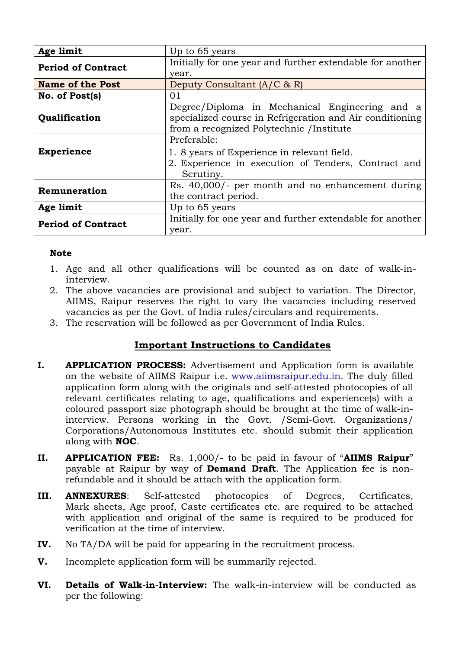| Age limit                   | Up to 65 years                                            |  |  |
|-----------------------------|-----------------------------------------------------------|--|--|
| <b>Period of Contract</b>   | Initially for one year and further extendable for another |  |  |
|                             | year.                                                     |  |  |
| <b>Name of the Post</b>     | Deputy Consultant $(A/C \& R)$                            |  |  |
| No. of Post(s)              | 01                                                        |  |  |
|                             | Degree/Diploma in Mechanical Engineering and a            |  |  |
| Qualification               | specialized course in Refrigeration and Air conditioning  |  |  |
|                             | from a recognized Polytechnic /Institute                  |  |  |
|                             | Preferable:                                               |  |  |
| <b>Experience</b>           | 1. 8 years of Experience in relevant field.               |  |  |
|                             | 2. Experience in execution of Tenders, Contract and       |  |  |
|                             | Scrutiny.                                                 |  |  |
| Remuneration                | Rs. 40,000/- per month and no enhancement during          |  |  |
|                             | the contract period.                                      |  |  |
| Age limit<br>Up to 65 years |                                                           |  |  |
| <b>Period of Contract</b>   | Initially for one year and further extendable for another |  |  |
|                             | year.                                                     |  |  |

### **Note**

- 1. Age and all other qualifications will be counted as on date of walk-ininterview.
- 2. The above vacancies are provisional and subject to variation. The Director, AIIMS, Raipur reserves the right to vary the vacancies including reserved vacancies as per the Govt. of India rules/circulars and requirements.
- 3. The reservation will be followed as per Government of India Rules.

## **Important Instructions to Candidates**

- **I. APPLICATION PROCESS:** Advertisement and Application form is available on the website of AIIMS Raipur i.e. [www.aiimsraipur.edu.in.](http://www.aiimsraipur.edu.in/) The duly filled application form along with the originals and self-attested photocopies of all relevant certificates relating to age, qualifications and experience(s) with a coloured passport size photograph should be brought at the time of walk-ininterview. Persons working in the Govt. /Semi-Govt. Organizations/ Corporations/Autonomous Institutes etc. should submit their application along with **NOC**.
- **II. APPLICATION FEE:** Rs. 1,000/- to be paid in favour of "**AIIMS Raipur**" payable at Raipur by way of **Demand Draft**. The Application fee is nonrefundable and it should be attach with the application form.
- **III. ANNEXURES**: Self-attested photocopies of Degrees, Certificates, Mark sheets, Age proof, Caste certificates etc. are required to be attached with application and original of the same is required to be produced for verification at the time of interview.
- **IV.** No TA/DA will be paid for appearing in the recruitment process.
- **V.** Incomplete application form will be summarily rejected.
- **VI. Details of Walk-in-Interview:** The walk-in-interview will be conducted as per the following: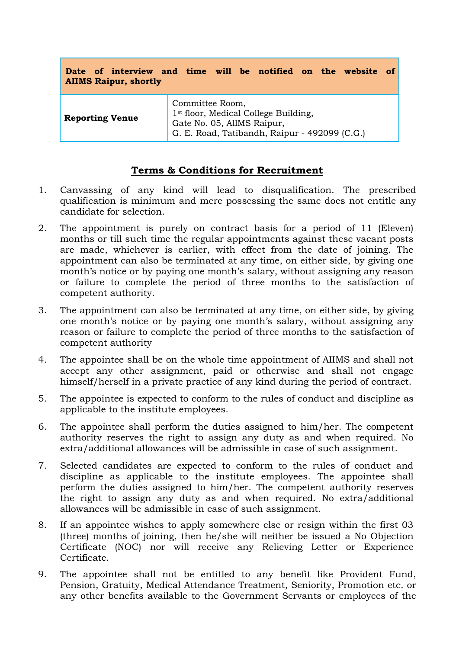| <b>AIIMS Raipur, shortly</b> | Date of interview and time will be notified on the website of                                                                                      |
|------------------------------|----------------------------------------------------------------------------------------------------------------------------------------------------|
| <b>Reporting Venue</b>       | Committee Room,<br>1 <sup>st</sup> floor, Medical College Building,<br>Gate No. 05, AllMS Raipur,<br>G. E. Road, Tatibandh, Raipur - 492099 (C.G.) |

### **Terms & Conditions for Recruitment**

- 1. Canvassing of any kind will lead to disqualification. The prescribed qualification is minimum and mere possessing the same does not entitle any candidate for selection.
- 2. The appointment is purely on contract basis for a period of 11 (Eleven) months or till such time the regular appointments against these vacant posts are made, whichever is earlier, with effect from the date of joining. The appointment can also be terminated at any time, on either side, by giving one month's notice or by paying one month's salary, without assigning any reason or failure to complete the period of three months to the satisfaction of competent authority.
- 3. The appointment can also be terminated at any time, on either side, by giving one month's notice or by paying one month's salary, without assigning any reason or failure to complete the period of three months to the satisfaction of competent authority
- 4. The appointee shall be on the whole time appointment of AIIMS and shall not accept any other assignment, paid or otherwise and shall not engage himself/herself in a private practice of any kind during the period of contract.
- 5. The appointee is expected to conform to the rules of conduct and discipline as applicable to the institute employees.
- 6. The appointee shall perform the duties assigned to him/her. The competent authority reserves the right to assign any duty as and when required. No extra/additional allowances will be admissible in case of such assignment.
- 7. Selected candidates are expected to conform to the rules of conduct and discipline as applicable to the institute employees. The appointee shall perform the duties assigned to him/her. The competent authority reserves the right to assign any duty as and when required. No extra/additional allowances will be admissible in case of such assignment.
- 8. If an appointee wishes to apply somewhere else or resign within the first 03 (three) months of joining, then he/she will neither be issued a No Objection Certificate (NOC) nor will receive any Relieving Letter or Experience Certificate.
- 9. The appointee shall not be entitled to any benefit like Provident Fund, Pension, Gratuity, Medical Attendance Treatment, Seniority, Promotion etc. or any other benefits available to the Government Servants or employees of the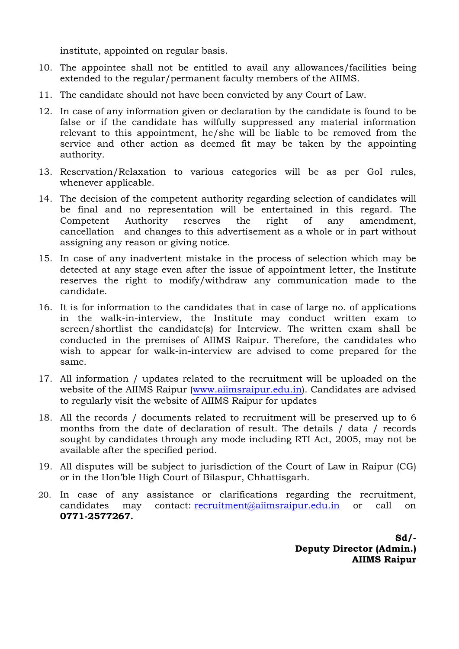institute, appointed on regular basis.

- 10. The appointee shall not be entitled to avail any allowances/facilities being extended to the regular/permanent faculty members of the AIIMS.
- 11. The candidate should not have been convicted by any Court of Law.
- 12. In case of any information given or declaration by the candidate is found to be false or if the candidate has wilfully suppressed any material information relevant to this appointment, he/she will be liable to be removed from the service and other action as deemed fit may be taken by the appointing authority.
- 13. Reservation/Relaxation to various categories will be as per GoI rules, whenever applicable.
- 14. The decision of the competent authority regarding selection of candidates will be final and no representation will be entertained in this regard. The Competent Authority reserves the right of any amendment, cancellation and changes to this advertisement as a whole or in part without assigning any reason or giving notice.
- 15. In case of any inadvertent mistake in the process of selection which may be detected at any stage even after the issue of appointment letter, the Institute reserves the right to modify/withdraw any communication made to the candidate.
- 16. It is for information to the candidates that in case of large no. of applications in the walk-in-interview, the Institute may conduct written exam to screen/shortlist the candidate(s) for Interview. The written exam shall be conducted in the premises of AIIMS Raipur. Therefore, the candidates who wish to appear for walk-in-interview are advised to come prepared for the same.
- 17. All information / updates related to the recruitment will be uploaded on the website of the AIIMS Raipur [\(www.aiimsraipur.edu.in\)](http://www.aiimsraipur.edu.in/). Candidates are advised to regularly visit the website of AIIMS Raipur for updates
- 18. All the records / documents related to recruitment will be preserved up to 6 months from the date of declaration of result. The details / data / records sought by candidates through any mode including RTI Act, 2005, may not be available after the specified period.
- 19. All disputes will be subject to jurisdiction of the Court of Law in Raipur (CG) or in the Hon'ble High Court of Bilaspur, Chhattisgarh.
- 20. In case of any assistance or clarifications regarding the recruitment, candidates may contact: [recruitment@aiimsraipur.edu.in](mailto:recruitment@aiimsraipur.edu.in) or call on **0771-2577267.**

**Sd/- Deputy Director (Admin.) AIIMS Raipur**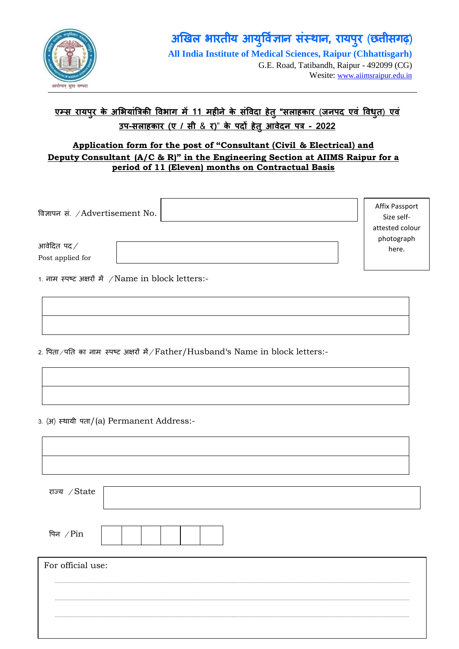

G.E. Road, Tatibandh, Raipur - 492099 (CG) Wesite: [www.aiimsraipur.edu.in](http://www.aiimsraipur.edu.in/)

# **एम् रायपरु के अ�भयां�त्र � वभाग 11 मह�ने के सं�वदा हेतु"सलाहकार** (**जनपद एवं �वधु त**) **एवं उप-सलाहकार (ए / सी** & **र)**" **के पद� हेतुआवेदन पत - 2022**

### **Application form for the post of "Consultant (Civil & Electrical) and Deputy Consultant (A/C & R)" in the Engineering Section at AIIMS Raipur for a period of 11 (Eleven) months on Contractual Basis**

| विज्ञापन सं. $\angle$ Advertisement No. |   | Affix Passport<br>Size self-<br>attested colour<br>photograph |
|-----------------------------------------|---|---------------------------------------------------------------|
| आवेदित पद $\hspace{.1cm}\mathcal{N}$    |   | here.                                                         |
| Post applied for                        |   |                                                               |
| $\cdots$<br>---                         | . |                                                               |

1. नाम स्पष्ट अक्षरों में / Name in block letters:-

2. पिता/पति का नाम स्पष्ट अक्षरों में/Father/Husband's Name in block letters:-

3. (अ) स्थायी पता/(a) Permanent Address:-

Г

| राज्य $\sqrt{\mathrm{State}}$ |  |
|-------------------------------|--|
| पिन $\sqrt{P}$ in             |  |
| For official use:             |  |
|                               |  |
|                               |  |
|                               |  |
|                               |  |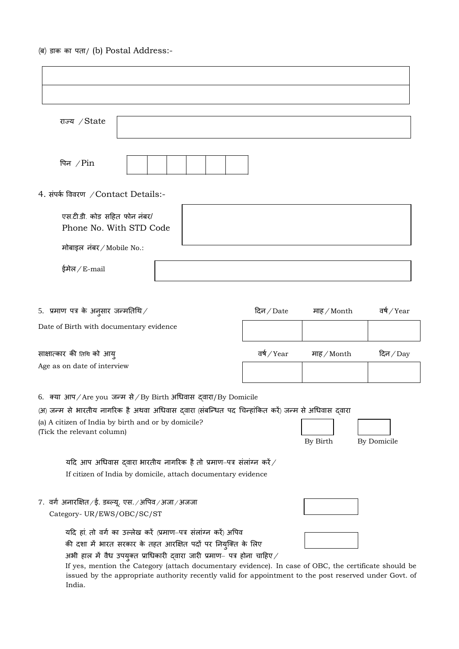(ब) डाक का पता/ (b) Postal Address:-

| राज्य / State                                                                                                                              |                                                    |                        |            |  |  |
|--------------------------------------------------------------------------------------------------------------------------------------------|----------------------------------------------------|------------------------|------------|--|--|
| पिन $/$ Pin                                                                                                                                |                                                    |                        |            |  |  |
| 4. संपर्क विवरण /Contact Details:-                                                                                                         |                                                    |                        |            |  |  |
| एस.टी.डी. कोड सहित फोन नंबर/<br>Phone No. With STD Code                                                                                    |                                                    |                        |            |  |  |
| मोबाइल नंबर / Mobile No.:                                                                                                                  |                                                    |                        |            |  |  |
| ईमेल $/E$ -mail                                                                                                                            |                                                    |                        |            |  |  |
|                                                                                                                                            |                                                    |                        |            |  |  |
| 5.  प्रमाण पत्र के अनुसार जन्मतिथि $\times$                                                                                                | वर्ष /Year<br>दिन / Date<br>माह $\mathcal /$ Month |                        |            |  |  |
| Date of Birth with documentary evidence                                                                                                    |                                                    |                        |            |  |  |
| साक्षात्कार की तिधि को आय्<br>Age as on date of interview                                                                                  | वर्ष /Year                                         | माह $\mathcal /$ Month | दिन $/Day$ |  |  |
|                                                                                                                                            |                                                    |                        |            |  |  |
| 6.   क्या आप/Are you  जन्म से/By Birth अधिवास  द्वारा/By Domicile                                                                          |                                                    |                        |            |  |  |
| (अ) जन्म से भारतीय नागरिक है अथवा अधिवास दवारा (संबन्धित पद चिन्हांकित करें) जन्म से अधिवास दवारा                                          |                                                    |                        |            |  |  |
| (a) A citizen of India by birth and or by domicile?<br>(Tick the relevant column)<br>By Birth<br>By Domicile                               |                                                    |                        |            |  |  |
| यदि आप अधिवास दवारा भारतीय नागरिक है तो प्रमाण–पत्र संलांग्न करें $\angle$<br>If citizen of India by domicile, attach documentary evidence |                                                    |                        |            |  |  |
| 7. वर्ग अनारक्षित ⁄ ई. डब्ल्यू. एस. ⁄ अपिव ⁄ अजा ⁄ अजजा<br>Category-UR/EWS/OBC/SC/ST                                                       |                                                    |                        |            |  |  |
| यदि हां, तो वर्ग का उल्लेख करें (प्रमाण-पत्र संलांग्न करें) अपिव<br>की दशा में भारत सरकार के तहत आरक्षित पदों पर नियुक्ति के लिए           |                                                    |                        |            |  |  |
| अभी हाल में वैध उपयुक्त प्राधिकारी द्वारा जारी प्रमाण– पत्र होना चाहिए $\angle$                                                            |                                                    |                        |            |  |  |

If yes, mention the Category (attach documentary evidence). In case of OBC, the certificate should be issued by the appropriate authority recently valid for appointment to the post reserved under Govt. of India.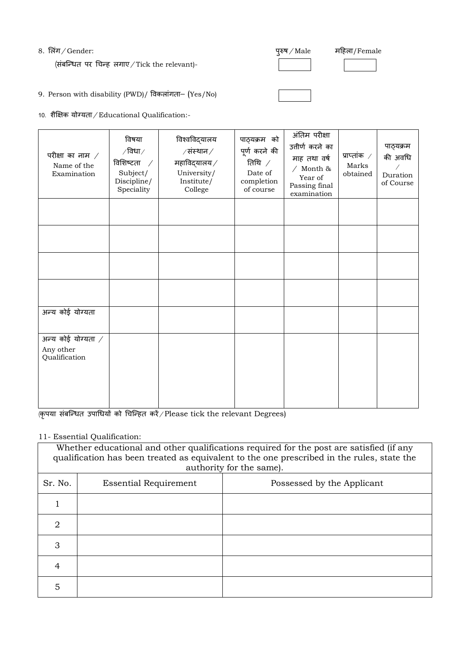### 8. लिंग/Gender:  $\frac{1}{2}$  and  $\frac{1}{2}$  and  $\frac{1}{2}$  and  $\frac{1}{2}$  and  $\frac{1}{2}$  and  $\frac{1}{2}$  and  $\frac{1}{2}$  and  $\frac{1}{2}$  and  $\frac{1}{2}$  and  $\frac{1}{2}$  and  $\frac{1}{2}$  and  $\frac{1}{2}$  and  $\frac{1}{2}$  and  $\frac{1}{2}$  and  $\frac{1}{2}$

(संबन्धित पर चिन्ह लगाए / Tick the relevant)-

महिला/Female

9. Person with disability (PWD)/ �वकलांगता– (Yes/No)

10. शैक्षिक योग्यता / Educational Qualification:-

| परीक्षा का नाम $\angle$<br>Name of the<br>Examination   | विषया<br>$\sqrt{6}$ धा $\sqrt{2}$<br>विशिष्टता<br>$\sqrt{2}$<br>Subject/<br>Discipline/<br>Speciality | विश्वविद्यालय<br>$/$ संस्थान $/$<br>महाविद्यालय $\angle$<br>University/<br>Institute/<br>College | पाठ्यक्रम को<br>पूर्ण करने की<br>तिथि $\angle$<br>Date of<br>completion<br>of course | अंतिम परीक्षा<br>उत्तीर्ण करने का<br>माह तथा वर्ष<br>/ Month &<br>Year of<br>Passing final<br>examination | प्राप्तांक $\angle$<br>Marks<br>obtained | पाठ्यक्रम<br>की अवधि<br>Duration<br>of Course |
|---------------------------------------------------------|-------------------------------------------------------------------------------------------------------|--------------------------------------------------------------------------------------------------|--------------------------------------------------------------------------------------|-----------------------------------------------------------------------------------------------------------|------------------------------------------|-----------------------------------------------|
|                                                         |                                                                                                       |                                                                                                  |                                                                                      |                                                                                                           |                                          |                                               |
|                                                         |                                                                                                       |                                                                                                  |                                                                                      |                                                                                                           |                                          |                                               |
|                                                         |                                                                                                       |                                                                                                  |                                                                                      |                                                                                                           |                                          |                                               |
|                                                         |                                                                                                       |                                                                                                  |                                                                                      |                                                                                                           |                                          |                                               |
| अन्य कोई योग्यता                                        |                                                                                                       |                                                                                                  |                                                                                      |                                                                                                           |                                          |                                               |
| अन्य कोई योग्यता $\angle$<br>Any other<br>Qualification |                                                                                                       |                                                                                                  |                                                                                      |                                                                                                           |                                          |                                               |

 $\overline{\phi}$ कृपया संबन्धित उपाधियों को चिन्हित करें / Please tick the relevant Degrees)

# 11- Essential Qualification:

| Whether educational and other qualifications required for the post are satisfied (if any<br>qualification has been treated as equivalent to the one prescribed in the rules, state the<br>authority for the same). |                              |                            |  |  |
|--------------------------------------------------------------------------------------------------------------------------------------------------------------------------------------------------------------------|------------------------------|----------------------------|--|--|
| Sr. No.                                                                                                                                                                                                            | <b>Essential Requirement</b> | Possessed by the Applicant |  |  |
|                                                                                                                                                                                                                    |                              |                            |  |  |
| 2                                                                                                                                                                                                                  |                              |                            |  |  |
| 3                                                                                                                                                                                                                  |                              |                            |  |  |
| 4                                                                                                                                                                                                                  |                              |                            |  |  |
| 5                                                                                                                                                                                                                  |                              |                            |  |  |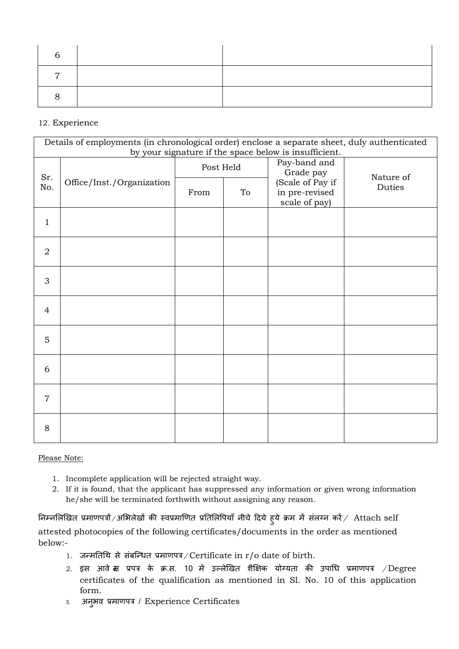### 12. Experience

| Details of employments (in chronological order) enclose a separate sheet, duly authenticated<br>by your signature if the space below is insufficient. |           |      |                           |                                                     |        |
|-------------------------------------------------------------------------------------------------------------------------------------------------------|-----------|------|---------------------------|-----------------------------------------------------|--------|
| Sr.<br>Office/Inst./Organization<br>No.                                                                                                               | Post Held |      | Pay-band and<br>Grade pay | Nature of                                           |        |
|                                                                                                                                                       |           | From | To                        | (Scale of Pay if<br>in pre-revised<br>scale of pay) | Duties |
| $\mathbf{1}$                                                                                                                                          |           |      |                           |                                                     |        |
| $\overline{2}$                                                                                                                                        |           |      |                           |                                                     |        |
| 3                                                                                                                                                     |           |      |                           |                                                     |        |
| 4                                                                                                                                                     |           |      |                           |                                                     |        |
| 5                                                                                                                                                     |           |      |                           |                                                     |        |
| 6                                                                                                                                                     |           |      |                           |                                                     |        |
| $\overline{7}$                                                                                                                                        |           |      |                           |                                                     |        |
| 8                                                                                                                                                     |           |      |                           |                                                     |        |

Please Note:

- 1. Incomplete application will be rejected straight way.
- 2. If it is found, that the applicant has suppressed any information or given wrong information he/she will be terminated forthwith without assigning any reason.

निम्नलिखित प्रमाणपत्रों /अभिलेखों की स्वप्रमाणित प्रतिलिपियाँ नीचे दिये हुये क्रम में संलग्न करें /  $\,$  Attach self attested photocopies of the following certificates/documents in the order as mentioned below:-

- 1. जन्मतिथि से संबन्धित प्रमाणपत्र/Certificate in r/o date of birth.
- 2. इस आवें दा प्रपत्र के क्र.स. 10 में उल्लेखित शैक्षिक योग्यता की उपाधि प्रमाणपत्र  $/D$ egree certificates of the qualification as mentioned in Sl. No. 10 of this application form.
- 3. अनुभव प्रमाणपत्र / Experience Certificates